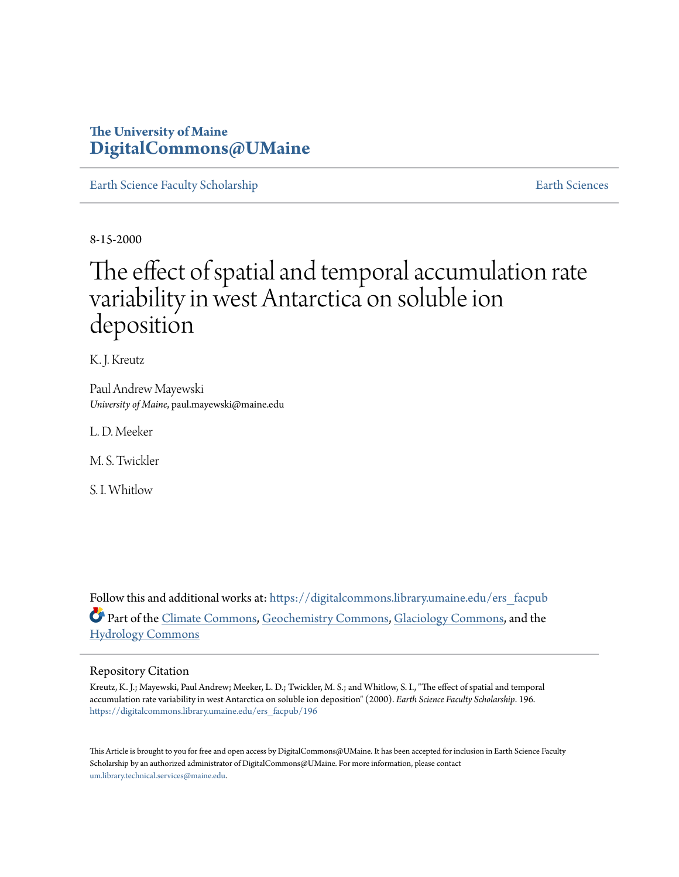# **The University of Maine [DigitalCommons@UMaine](https://digitalcommons.library.umaine.edu?utm_source=digitalcommons.library.umaine.edu%2Fers_facpub%2F196&utm_medium=PDF&utm_campaign=PDFCoverPages)**

[Earth Science Faculty Scholarship](https://digitalcommons.library.umaine.edu/ers_facpub?utm_source=digitalcommons.library.umaine.edu%2Fers_facpub%2F196&utm_medium=PDF&utm_campaign=PDFCoverPages) **[Earth Sciences](https://digitalcommons.library.umaine.edu/ers?utm_source=digitalcommons.library.umaine.edu%2Fers_facpub%2F196&utm_medium=PDF&utm_campaign=PDFCoverPages)** 

8-15-2000

# The effect of spatial and temporal accumulation rate variability in west Antarctica on soluble ion deposition

K. J. Kreutz

Paul Andrew Mayewski *University of Maine*, paul.mayewski@maine.edu

L. D. Meeker

M. S. Twickler

S. I. Whitlow

Follow this and additional works at: [https://digitalcommons.library.umaine.edu/ers\\_facpub](https://digitalcommons.library.umaine.edu/ers_facpub?utm_source=digitalcommons.library.umaine.edu%2Fers_facpub%2F196&utm_medium=PDF&utm_campaign=PDFCoverPages) Part of the [Climate Commons,](http://network.bepress.com/hgg/discipline/188?utm_source=digitalcommons.library.umaine.edu%2Fers_facpub%2F196&utm_medium=PDF&utm_campaign=PDFCoverPages) [Geochemistry Commons,](http://network.bepress.com/hgg/discipline/157?utm_source=digitalcommons.library.umaine.edu%2Fers_facpub%2F196&utm_medium=PDF&utm_campaign=PDFCoverPages) [Glaciology Commons](http://network.bepress.com/hgg/discipline/159?utm_source=digitalcommons.library.umaine.edu%2Fers_facpub%2F196&utm_medium=PDF&utm_campaign=PDFCoverPages), and the [Hydrology Commons](http://network.bepress.com/hgg/discipline/1054?utm_source=digitalcommons.library.umaine.edu%2Fers_facpub%2F196&utm_medium=PDF&utm_campaign=PDFCoverPages)

#### Repository Citation

Kreutz, K. J.; Mayewski, Paul Andrew; Meeker, L. D.; Twickler, M. S.; and Whitlow, S. I., "The effect of spatial and temporal accumulation rate variability in west Antarctica on soluble ion deposition" (2000). *Earth Science Faculty Scholarship*. 196. [https://digitalcommons.library.umaine.edu/ers\\_facpub/196](https://digitalcommons.library.umaine.edu/ers_facpub/196?utm_source=digitalcommons.library.umaine.edu%2Fers_facpub%2F196&utm_medium=PDF&utm_campaign=PDFCoverPages)

This Article is brought to you for free and open access by DigitalCommons@UMaine. It has been accepted for inclusion in Earth Science Faculty Scholarship by an authorized administrator of DigitalCommons@UMaine. For more information, please contact [um.library.technical.services@maine.edu](mailto:um.library.technical.services@maine.edu).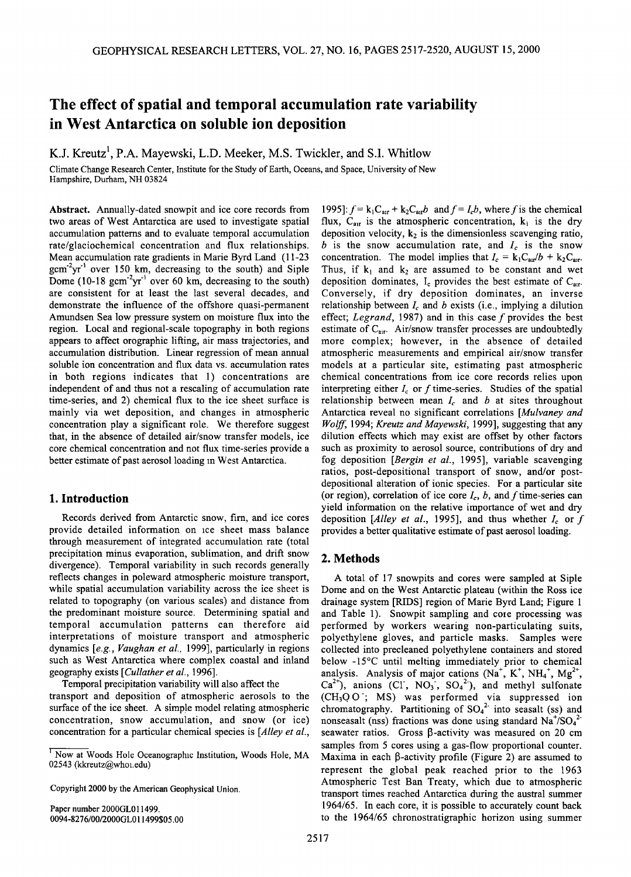# **The effect of spatial and temporal accumulation rate variability in West Antarctica on soluble ion deposition**

K.J. Kreutz<sup>1</sup>, P.A. Mayewski, L.D. Meeker, M.S. Twickler, and S.I. Whitlow

**Climate Change Research Center, Institute for the Study of Earth, Oceans, and Space, University of New Hampshire, Durham, NH 03824** 

**Abstract. Annually-dated snowpit and ice core records from two areas of West Antarctica are used to investigate spatial accumulation patterns and to evaluate temporal accumulation rate/glaciochemical concentration and flux relationships. Mean accumulation rate gradients in Marie Byrd Land (11-23**  gcm<sup>-2</sup>yr<sup>-1</sup> over 150 km, decreasing to the south) and Siple Dome (10-18 gcm<sup>-2</sup>yr<sup>-1</sup> over 60 km, decreasing to the south) **are consistent for at least the last several decades, and demonstrate the influence of the offshore quasi-permanent Amundsen Sea low pressure system on moisture flux into the region. Local and regional-scale topography in both regions appears to affect orographic lifting, air mass trajectories, and accumulation distribution. Linear regression of mean annual soluble ion concentration and flux data vs. accumulation rates in both regions indicates that 1) concentrations are independent of and thus not a rescaling of accumulation rate time-series, and 2) chemical flux to the ice sheet surface is mainly via wet deposition, and changes in atmospheric concentration play a significant role. We therefore suggest that, in the absence of detailed air/snow transfer models, ice core chemical concentration and not flux time-series provide a better estimate of past aerosol loading in West Antarctica.** 

## **1. Introduction**

**Records derived from Antarctic snow, firn, and ice cores provide detailed information on ice sheet mass balance through measurement of integrated accumulation rate (total precipitation minus evaporation, sublimation, and drift snow divergence). Temporal variability in such records generally reflects changes in poleward atmospheric moisture transport, while spatial accumulation variability across the ice sheet is related to topography (on various scales) and distance from the predominant moisture source. Determining spatial and temporal accumulation patterns can therefore aid interpretations of moisture transport and atmospheric dynamics [e.g., Vaughan et al., 1999], particularly in regions such as West Antarctica where complex coastal and inland geography exists [Cullather et al., 1996].** 

**Temporal precipitation variability will also affect the transport and deposition of atmospheric aerosols to the surface of the ice sheet. A simple model relating atmospheric concentration, snow accumulation, and snow (or ice) concentration for a particular chemical species is [Alley et al.,** 

**Copyright 2000 by the American Geophysical Union.** 

**Paper number 2000GL011499. 0094-8276/00/2000GL011499505.00**  1995]:  $f = k_1 C_{\text{air}} + k_2 C_{\text{air}}b$  and  $f = I_c b$ , where f is the chemical flux,  $C_{\text{air}}$  is the atmospheric concentration,  $k_1$  is the dry deposition velocity, k<sub>2</sub> is the dimensionless scavenging ratio,  $b$  is the snow accumulation rate, and  $I_c$  is the snow concentration. The model implies that  $I_c = k_1 C_{\text{air}}/b + k_2 C_{\text{air}}$ . Thus, if  $k_1$  and  $k_2$  are assumed to be constant and wet deposition dominates, I<sub>c</sub> provides the best estimate of C<sub>arr</sub>. **Conversely, if dry deposition dominates, an inverse**  relationship between  $I_c$  and  $b$  exists (i.e., implying a dilution **effect; Legrand, 1987) and in this case f provides the best**  estimate of C<sub>air</sub>. Air/snow transfer processes are undoubtedly **more complex; however, in the absence of detailed atmospheric measurements and empirical air/snow transfer models at a particular site, estimating past atmospheric chemical concentrations from ice core records relies upon**  interpreting either  $I_c$  or f time-series. Studies of the spatial relationship between mean  $I_c$  and  $b$  at sites throughout **Antarctica reveal no significant correlations [Mulvaney and Wolff, 1994; Kreutz and Mayewski, 1999], suggesting that any dilution effects which may exist are offset by other factors such as proximity to aerosol source, contributions of dry and fog deposition [Bergin et al., 1995], variable scavenging ratios, post-depositional transport of snow, and/or postdepositional alteration of ionic species. For a particular site**  (or region), correlation of ice core  $I_c$ , b, and f time-series can **yield information on the relative importance of wet and dry**  deposition  $\lceil$ *Alley et al.*, 1995], and thus whether  $I_c$  or f provides a better qualitative estimate of past aerosol loading.

### **2. Methods**

**A total of 17 snowpits and cores were sampled at Siple Dome and on the West Antarctic plateau (within the Ross ice drainage system [RIDS] region of Marie Byrd Land; Figure 1**  and Table 1). Snowpit sampling and core processing was **perfbrmed by workers wearing non-particulating suits, polyethylene gloves, and particle masks. Samples were collected into precleaned polyethylene containers and stored below -15øC until melting immediately prior to chemical**  analysis. Analysis of major cations  $(Na^+, K^+, NH_4^+, Mg^{2+},$ Ca<sup>2+</sup>), anions (CI, NO<sub>3</sub>, SO<sub>4</sub><sup>2</sup>), and methyl sulfonate **(CH3QO-; MS) was performed via suppressed ion**  chromatography. Partitioning of SO<sub>4</sub><sup>2-</sup> into seasalt (ss) and **nonseasalt** (nss) fractions was done using standard Na<sup>+</sup>/SO<sub>4</sub><sup>2</sup> **seawater ratios. Gross [3-activity was measured on 20 cm samples from 5 cores using a gas-flow proportional counter.**  Maxima in each  $\beta$ -activity profile (Figure 2) are assumed to **represent the global peak reached prior to the 1963 Atmospheric Test Ban Treaty, which due to atmospheric transport times reached Antarctica during the austral summer 1964/65. In each core, it is possible to accurately count back to the 1964/65 chronostratigraphic horizon using summer** 

**<sup>•</sup> Now at Woods Hole Oceanographic Institution, Woods Hole, MA**  02543 (kkreutz@whoi.edu)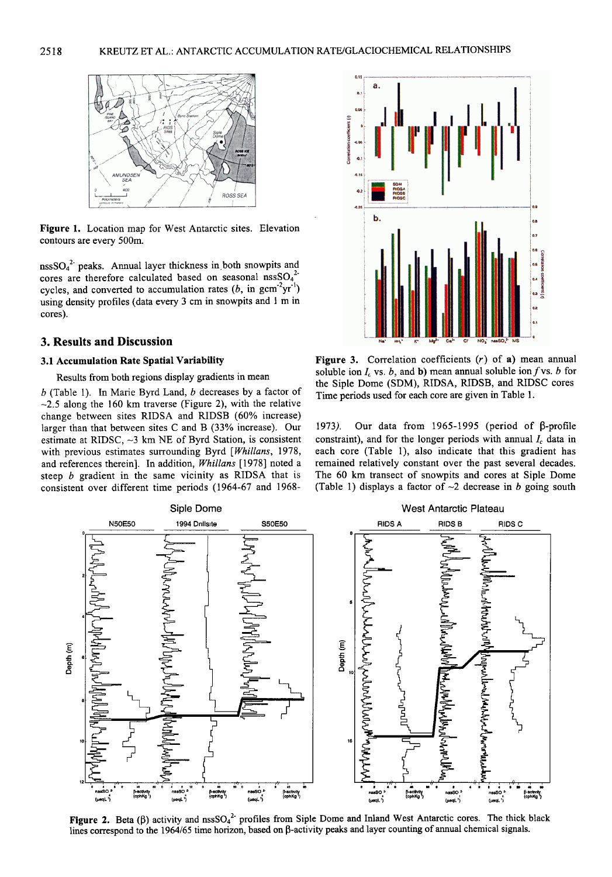

**Figure 1. Location map for West Antarctic sites. Elevation contours are every 500m.** 

**nssSO42- peaks. Annual layer thickness in both snowpits and**  cores are therefore calculated based on seasonal nssSO<sub>4</sub><sup>2</sup> cycles, and converted to accumulation rates  $(b, in gcm<sup>-2</sup>yr<sup>-1</sup>)$ **using density profiles (data every 3 cm in snowpits and 1 m in cores).** 

#### **3. Results and Discussion**

## **3.1 Accumulation Rate Spatial Variability**

**Results from both regions display gradients in mean** 

**b (Table 1). In Marie Byrd Land, b decreases by a factor of --2.5 along the 160 km traverse (Figure 2), with the relative change between sites RIDSA and RIDSB (60% increase) larger than that between sites C and B (33% increase). Our**  estimate at RIDSC,  $\sim$ 3 km NE of Byrd Station, is consistent with previous estimates surrounding Byrd [Whillans, 1978, and references therein]. In addition, Whillans [1978] noted a **steep b gradient in the same vicinity as RIDSA that is consistent over different time periods (1964-67 and 1968-** 



**Figure 3. Correlation coefficients (r) of a) mean annual**  soluble ion  $I_c$  vs. b, and b) mean annual soluble ion f vs. b for **the Siple Dome (SDM), RIDSA, RIDSB, and RIDSC cores. Time periods used for each core are given in Table 1.** 

**1973**). Our data from 1965-1995 (period of β-profile constraint), and for the longer periods with annual  $I_c$  data in **each core (Table 1), also indicate that this gradient has remained relatively constant over the past several decades. The 60 km transect of snowpits and cores at Siple Dome**  (Table 1) displays a factor of  $\sim$ 2 decrease in *b* going south



**Figure 2.** Beta ( $\beta$ ) activity and nssSO<sub>4</sub><sup>2</sup> profiles from Siple Dome and Inland West Antarctic cores. The thick black lines correspond to the 1964/65 time horizon, based on β-activity peaks and layer counting of annual chemical signals.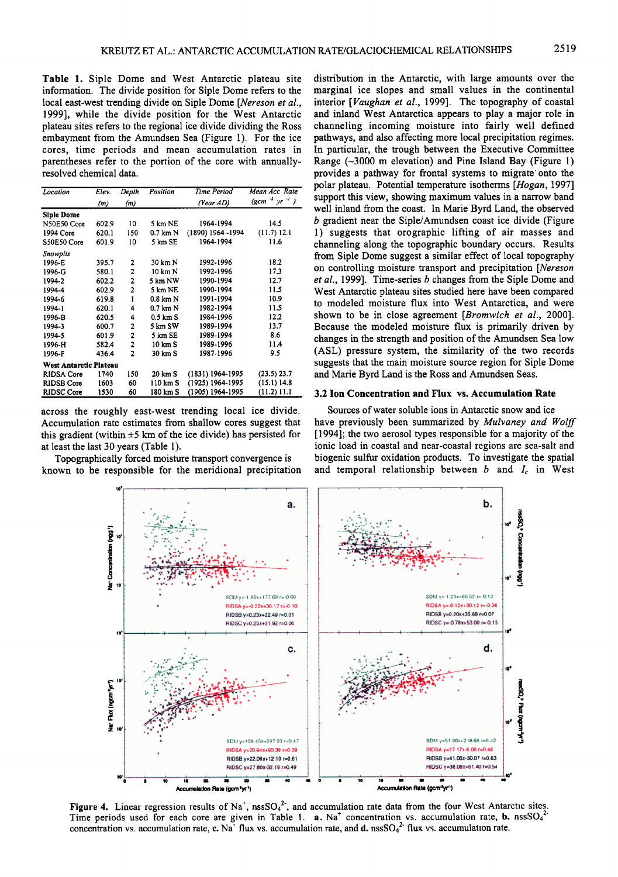**Table 1. Siple Dome and West Antarctic plateau site'**  information. The divide position for Siple Dome refers to the **local east-west trending divide on Siple Dome [Nereson et el., 1999], while the divide position for the West Antarctic plateau sites refers to the regional ice divide dividing the Ross embayment from the Amundsen Sea (Figure 1). For the ice cores, time periods and mean accumulation rates in parentheses refer to the portion of the core with annuallyresolved chemical data.** 

| Location               | Elev. | Depth          | Position           | Time Period       | Mean Acc Rate                       |
|------------------------|-------|----------------|--------------------|-------------------|-------------------------------------|
|                        | (m)   | (m)            |                    | (Year AD)         | $(\text{gcm}^{-2} \text{ yr}^{-1})$ |
| <b>Siple Dome</b>      |       |                |                    |                   |                                     |
| N50E50 Core            | 602.9 | 10             | 5 km NE            | 1964-1994         | 14.5                                |
| 1994 Core              | 620.1 | 150            | $0.7$ km $N$       | (1890) 1964 -1994 | (11.7) 12.1                         |
| S50E50 Core            | 601.9 | 10             | 5 km SE            | 1964-1994         | 11.6                                |
| Snowpits               |       |                |                    |                   |                                     |
| 1996-E                 | 395.7 | 2              | 30 km N            | 1992-1996         | 18.2                                |
| 1996-G                 | 580.1 | 2              | 10 km N            | 1992-1996         | 17.3                                |
| 1994-2                 | 602.2 | 2              | 5 km NW            | 1990-1994         | 12.7                                |
| 1994-4                 | 602.9 | $\overline{a}$ | 5 km NE            | 1990-1994         | 11.5                                |
| 1994-6                 | 619.8 | 1              | $0.8$ km $N$       | 1991-1994         | 10.9                                |
| 1994-1                 | 620.1 | 4              | $0.7$ km $N$       | 1982-1994         | 11.5                                |
| 1996-B                 | 620.5 | 4              | $0.5 \text{ km}$ S | 1984-1996         | 12.2                                |
| 1994-3                 | 600.7 | 2              | 5 km SW            | 1989-1994         | 13.7                                |
| 1994-5                 | 601.9 | $\overline{a}$ | 5 km SE            | 1989-1994         | 8.6                                 |
| 1996-H                 | 582.4 | 2              | 10 km S            | 1989-1996         | 11.4                                |
| 1996-F                 | 436.4 | 2              | 30 km S            | 1987-1996         | 9.5                                 |
| West Antarctic Plateau |       |                |                    |                   |                                     |
| RIDSA Core             | 1740  | 150            | 20 km S            | (1831) 1964-1995  | $(23.5)$ 23.7                       |
| <b>RIDSB Core</b>      | 1603  | 60             | 110 km S           | (1925) 1964-1995  | (15.1) 14.8                         |
| <b>RIDSC Core</b>      | 1530  | 60             | 180 km S           | (1905) 1964-1995  | (11.2) 11.1                         |

**across the roughly east-west trending local ice divide. Accumulation rate estimates from shallow cores suggest that**  this gradient (within  $\pm 5$  km of the ice divide) has persisted for **at least the last 30 years (Table 1).** 

**Topographically forced moisture transport convergence is known to be responsible for the meridional precipitation**  **distribution in the Antarctic, with large amounts over the marginal ice slopes and small values in the continental interior [Vaughan et al., 1999]. The topography of coastal and inland West Antarctica appears to play a major role in channeling incoming moisture into fairly well defined pathways, and also affecting more local precipitation regimes. In particular, the trough between the Executive Committee Range (-•3000 m elevation) and Pine Island Bay (Figure 1) provides a pathway for frontal systems to migrate' onto the polar plateau. Potential temperature isotherms [Hogan, 1997] support this view, showing maximum values in a narrow band well inland from the coast. In Marie Byrd Land, the observed b gradient near the Siple/Amundsen coast ice divide (Figure 1) suggests that orographic lifting of air masses and channeling along the topographic boundary occurs. Results from Siple Dome suggest a similar effect of local topography on controlling moisture transport and precipitation [Nereson et al., 1999]. Time-series b changes from the Siple Dome and West Antarctic plateau sites studied here have been compared to modeled moisture flux into West Antarctica, and were shown to be in close agreement [Bromwich et al., 2000]. Because the modeled moisture flux is primarily driven by changes in the strength and position of the Amundsen Sea low (ASL) pressure system, the similarity of the two records suggests that the main moisture source region for Siple Dome and Marie Byrd Land is the Ross and Amundsen Seas.** 

#### **3.2 Ion Concentration and Flux vs. Accumulation Rate**

**Sources of water soluble ions in Antarctic snow and ice have previously been summarized by Mulvaney and Wolff [ 1994]; the two aerosol types responsible for a majority of the ionic lead in coastal and near-coastal regions are sea-salt and biogenic sulfur oxidation products. To investigate the spatial**  and temporal relationship between  $b$  and  $I_c$  in West



**Figure 4.** Linear regression results of Na<sup>+</sup>, nssSO<sub>4</sub><sup>2-</sup>, and accumulation rate data from the four West Antarctic sites. Time periods used for each core are given in Table 1.  $a. Na<sup>+</sup>$  concentration vs. accumulation rate, **b.** nss $SO<sub>4</sub><sup>2</sup>$ concentration vs. accumulation rate, c. Na<sup>7</sup> flux vs. accumulation rate, and d. nssSO<sub>4</sub><sup>2</sup> flux vs. accumulation rate.